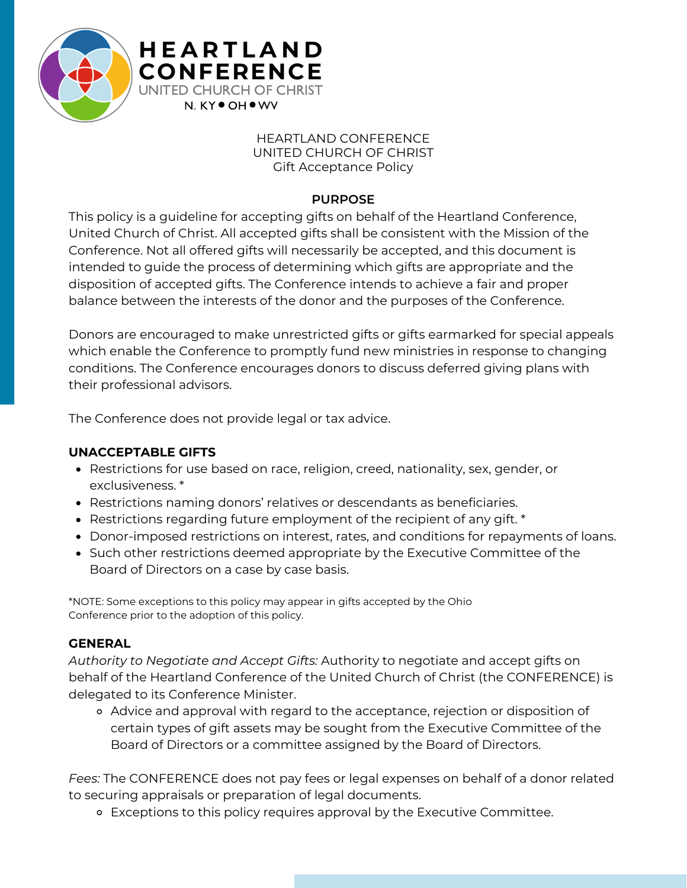

## HEARTLAND CONFERENCE UNITED CHURCH OF CHRIST Gift Acceptance Policy

## **PURPOSE**

This policy is a guideline for accepting gifts on behalf of the Heartland Conference, United Church of Christ. All accepted gifts shall be consistent with the Mission of the Conference. Not all offered gifts will necessarily be accepted, and this document is intended to guide the process of determining which gifts are appropriate and the disposition of accepted gifts. The Conference intends to achieve a fair and proper balance between the interests of the donor and the purposes of the Conference.

Donors are encouraged to make unrestricted gifts or gifts earmarked for special appeals which enable the Conference to promptly fund new ministries in response to changing conditions. The Conference encourages donors to discuss deferred giving plans with their professional advisors.

The Conference does not provide legal or tax advice.

**H E A R T L A N D CONFERENCE** UNITED CHURCH OF CHRIST N. KY<sup>O</sup> OH<sup>O</sup> WV

# **UNACCEPTABLE GIFTS**

- Restrictions for use based on race, religion, creed, nationality, sex, gender, or exclusiveness. \*
- Restrictions naming donors' relatives or descendants as beneficiaries.
- Restrictions regarding future employment of the recipient of any gift. \*
- Donor-imposed restrictions on interest, rates, and conditions for repayments of loans.
- Such other restrictions deemed appropriate by the Executive Committee of the Board of Directors on a case by case basis.

\*NOTE: Some exceptions to this policy may appear in gifts accepted by the Ohio Conference prior to the adoption of this policy.

# **GENERAL**

*Authority to Negotiate and Accept Gifts:* Authority to negotiate and accept gifts on behalf of the Heartland Conference of the United Church of Christ (the CONFERENCE) is delegated to its Conference Minister.

Advice and approval with regard to the acceptance, rejection or disposition of certain types of gift assets may be sought from the Executive Committee of the Board of Directors or a committee assigned by the Board of Directors.

*Fees:* The CONFERENCE does not pay fees or legal expenses on behalf of a donor related to securing appraisals or preparation of legal documents.

Exceptions to this policy requires approval by the Executive Committee.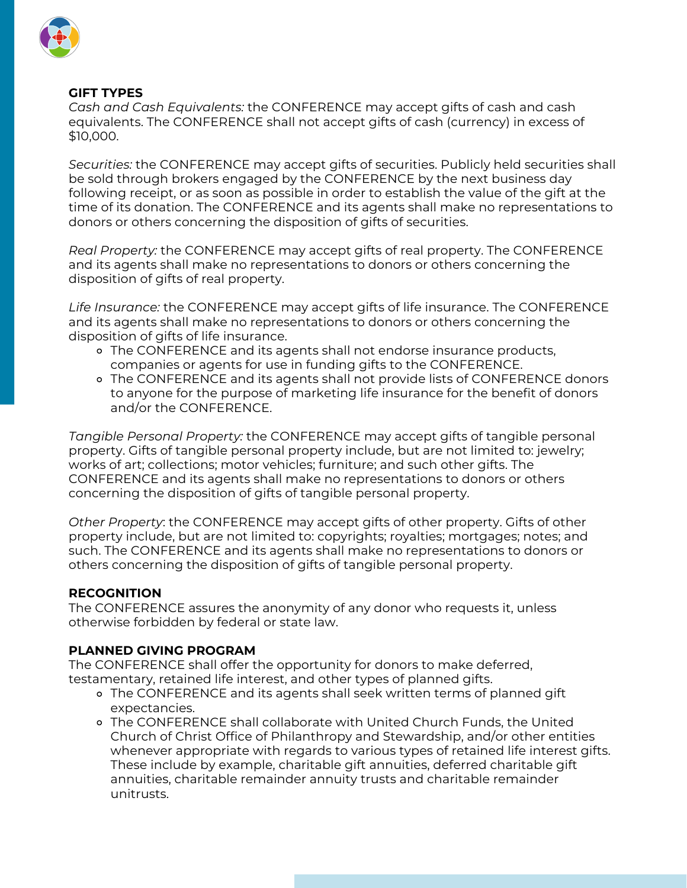

## **GIFT TYPES**

*Cash and Cash Equivalents:* the CONFERENCE may accept gifts of cash and cash equivalents. The CONFERENCE shall not accept gifts of cash (currency) in excess of \$10,000.

*Securities:* the CONFERENCE may accept gifts of securities. Publicly held securities shall be sold through brokers engaged by the CONFERENCE by the next business day following receipt, or as soon as possible in order to establish the value of the gift at the time of its donation. The CONFERENCE and its agents shall make no representations to donors or others concerning the disposition of gifts of securities.

*Real Property:* the CONFERENCE may accept gifts of real property. The CONFERENCE and its agents shall make no representations to donors or others concerning the disposition of gifts of real property.

*Life Insurance:* the CONFERENCE may accept gifts of life insurance. The CONFERENCE and its agents shall make no representations to donors or others concerning the disposition of gifts of life insurance.

- The CONFERENCE and its agents shall not endorse insurance products, companies or agents for use in funding gifts to the CONFERENCE.
- The CONFERENCE and its agents shall not provide lists of CONFERENCE donors to anyone for the purpose of marketing life insurance for the benefit of donors and/or the CONFERENCE.

*Tangible Personal Property:* the CONFERENCE may accept gifts of tangible personal property. Gifts of tangible personal property include, but are not limited to: jewelry; works of art; collections; motor vehicles; furniture; and such other gifts. The CONFERENCE and its agents shall make no representations to donors or others concerning the disposition of gifts of tangible personal property.

*Other Property*: the CONFERENCE may accept gifts of other property. Gifts of other property include, but are not limited to: copyrights; royalties; mortgages; notes; and such. The CONFERENCE and its agents shall make no representations to donors or others concerning the disposition of gifts of tangible personal property.

### **RECOGNITION**

The CONFERENCE assures the anonymity of any donor who requests it, unless otherwise forbidden by federal or state law.

### **PLANNED GIVING PROGRAM**

The CONFERENCE shall offer the opportunity for donors to make deferred, testamentary, retained life interest, and other types of planned gifts.

- The CONFERENCE and its agents shall seek written terms of planned gift expectancies.
- The CONFERENCE shall collaborate with United Church Funds, the United Church of Christ Office of Philanthropy and Stewardship, and/or other entities whenever appropriate with regards to various types of retained life interest gifts. These include by example, charitable gift annuities, deferred charitable gift annuities, charitable remainder annuity trusts and charitable remainder unitrusts.